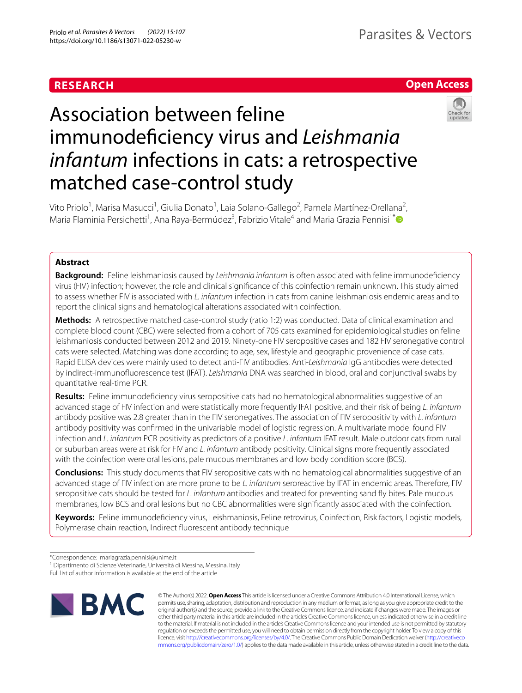# **RESEARCH**

# **Open Access**



# Association between feline immunodefciency virus and *Leishmania infantum* infections in cats: a retrospective matched case-control study

Vito Priolo<sup>1</sup>, Marisa Masucci<sup>1</sup>, Giulia Donato<sup>1</sup>, Laia Solano-Gallego<sup>2</sup>, Pamela Martínez-Orellana<sup>2</sup>, Maria Flaminia Persichetti<sup>1</sup>, Ana Raya-Bermúdez<sup>3</sup>, Fabrizio Vitale<sup>4</sup> and Maria Grazia Pennisi<sup>1[\\*](http://orcid.org/0000-0002-3169-4194)</sup>

# **Abstract**

**Background:** Feline leishmaniosis caused by *Leishmania infantum* is often associated with feline immunodefciency virus (FIV) infection; however, the role and clinical signifcance of this coinfection remain unknown. This study aimed to assess whether FIV is associated with *L. infantum* infection in cats from canine leishmaniosis endemic areas and to report the clinical signs and hematological alterations associated with coinfection.

**Methods:** A retrospective matched case-control study (ratio 1:2) was conducted. Data of clinical examination and complete blood count (CBC) were selected from a cohort of 705 cats examined for epidemiological studies on feline leishmaniosis conducted between 2012 and 2019. Ninety-one FIV seropositive cases and 182 FIV seronegative control cats were selected. Matching was done according to age, sex, lifestyle and geographic provenience of case cats. Rapid ELISA devices were mainly used to detect anti-FIV antibodies. Anti-*Leishmania* IgG antibodies were detected by indirect-immunofuorescence test (IFAT). *Leishmania* DNA was searched in blood, oral and conjunctival swabs by quantitative real-time PCR.

**Results:** Feline immunodefciency virus seropositive cats had no hematological abnormalities suggestive of an advanced stage of FIV infection and were statistically more frequently IFAT positive, and their risk of being *L. infantum* antibody positive was 2.8 greater than in the FIV seronegatives. The association of FIV seropositivity with *L. infantum* antibody positivity was confrmed in the univariable model of logistic regression. A multivariate model found FIV infection and *L. infantum* PCR positivity as predictors of a positive *L. infantum* IFAT result. Male outdoor cats from rural or suburban areas were at risk for FIV and *L. infantum* antibody positivity. Clinical signs more frequently associated with the coinfection were oral lesions, pale mucous membranes and low body condition score (BCS).

**Conclusions:** This study documents that FIV seropositive cats with no hematological abnormalities suggestive of an advanced stage of FIV infection are more prone to be *L. infantum* seroreactive by IFAT in endemic areas. Therefore, FIV seropositive cats should be tested for *L. infantum* antibodies and treated for preventing sand fy bites. Pale mucous membranes, low BCS and oral lesions but no CBC abnormalities were signifcantly associated with the coinfection.

**Keywords:** Feline immunodefciency virus, Leishmaniosis, Feline retrovirus, Coinfection, Risk factors, Logistic models, Polymerase chain reaction, Indirect fuorescent antibody technique

Full list of author information is available at the end of the article



© The Author(s) 2022. **Open Access** This article is licensed under a Creative Commons Attribution 4.0 International License, which permits use, sharing, adaptation, distribution and reproduction in any medium or format, as long as you give appropriate credit to the original author(s) and the source, provide a link to the Creative Commons licence, and indicate if changes were made. The images or other third party material in this article are included in the article's Creative Commons licence, unless indicated otherwise in a credit line to the material. If material is not included in the article's Creative Commons licence and your intended use is not permitted by statutory regulation or exceeds the permitted use, you will need to obtain permission directly from the copyright holder. To view a copy of this licence, visit [http://creativecommons.org/licenses/by/4.0/.](http://creativecommons.org/licenses/by/4.0/) The Creative Commons Public Domain Dedication waiver ([http://creativeco](http://creativecommons.org/publicdomain/zero/1.0/) [mmons.org/publicdomain/zero/1.0/](http://creativecommons.org/publicdomain/zero/1.0/)) applies to the data made available in this article, unless otherwise stated in a credit line to the data.

<sup>\*</sup>Correspondence: mariagrazia.pennisi@unime.it

<sup>&</sup>lt;sup>1</sup> Dipartimento di Scienze Veterinarie, Università di Messina, Messina, Italy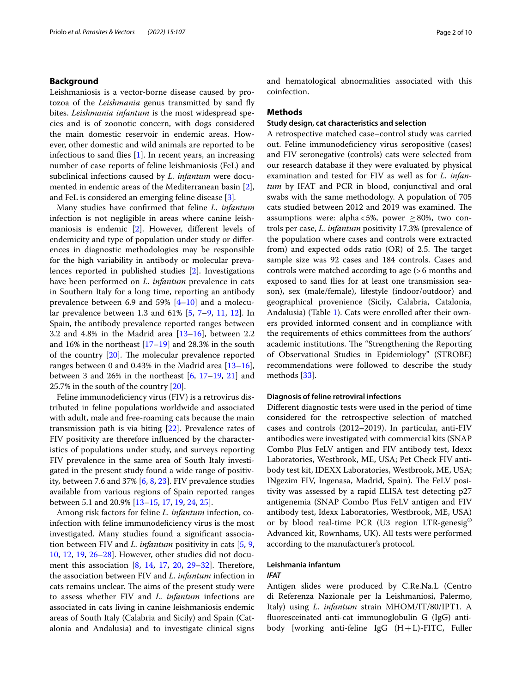# **Background**

Leishmaniosis is a vector-borne disease caused by protozoa of the *Leishmania* genus transmitted by sand fy bites. *Leishmania infantum* is the most widespread species and is of zoonotic concern, with dogs considered the main domestic reservoir in endemic areas. However, other domestic and wild animals are reported to be infectious to sand flies  $[1]$  $[1]$ . In recent years, an increasing number of case reports of feline leishmaniosis (FeL) and subclinical infections caused by *L. infantum* were documented in endemic areas of the Mediterranean basin [\[2](#page-8-1)], and FeL is considered an emerging feline disease [\[3](#page-8-2)]*.*

Many studies have confrmed that feline *L. infantum* infection is not negligible in areas where canine leishmaniosis is endemic [\[2](#page-8-1)]. However, diferent levels of endemicity and type of population under study or diferences in diagnostic methodologies may be responsible for the high variability in antibody or molecular prevalences reported in published studies [\[2\]](#page-8-1). Investigations have been performed on *L. infantum* prevalence in cats in Southern Italy for a long time, reporting an antibody prevalence between 6.9 and 59%  $[4-10]$  $[4-10]$  $[4-10]$  and a molecular prevalence between 1.3 and 61% [[5,](#page-8-5) [7–](#page-8-6)[9](#page-8-7), [11](#page-8-8), [12\]](#page-8-9). In Spain, the antibody prevalence reported ranges between 3.2 and 4.8% in the Madrid area  $[13–16]$  $[13–16]$  $[13–16]$  $[13–16]$ , between 2.2 and 16% in the northeast [\[17](#page-8-12)[–19](#page-8-13)] and 28.3% in the south of the country  $[20]$  $[20]$ . The molecular prevalence reported ranges between 0 and 0.43% in the Madrid area  $[13-16]$  $[13-16]$  $[13-16]$ , between 3 and 26% in the northeast [[6,](#page-8-15) [17](#page-8-12)[–19,](#page-8-13) [21\]](#page-9-0) and 25.7% in the south of the country [\[20\]](#page-8-14).

Feline immunodefciency virus (FIV) is a retrovirus distributed in feline populations worldwide and associated with adult, male and free-roaming cats because the main transmission path is via biting [[22\]](#page-9-1). Prevalence rates of FIV positivity are therefore infuenced by the characteristics of populations under study, and surveys reporting FIV prevalence in the same area of South Italy investigated in the present study found a wide range of positivity, between 7.6 and 37% [[6,](#page-8-15) [8](#page-8-16), [23](#page-9-2)]. FIV prevalence studies available from various regions of Spain reported ranges between 5.1 and 20.9% [[13–](#page-8-10)[15](#page-8-17), [17,](#page-8-12) [19](#page-8-13), [24](#page-9-3), [25\]](#page-9-4).

Among risk factors for feline *L. infantum* infection, coinfection with feline immunodeficiency virus is the most investigated. Many studies found a signifcant association between FIV and *L. infantum* positivity in cats [[5](#page-8-5), [9](#page-8-7), [10,](#page-8-4) [12,](#page-8-9) [19,](#page-8-13) [26–](#page-9-5)[28](#page-9-6)]. However, other studies did not document this association  $[8, 14, 17, 20, 29-32]$  $[8, 14, 17, 20, 29-32]$  $[8, 14, 17, 20, 29-32]$  $[8, 14, 17, 20, 29-32]$  $[8, 14, 17, 20, 29-32]$  $[8, 14, 17, 20, 29-32]$  $[8, 14, 17, 20, 29-32]$  $[8, 14, 17, 20, 29-32]$  $[8, 14, 17, 20, 29-32]$  $[8, 14, 17, 20, 29-32]$  $[8, 14, 17, 20, 29-32]$ . Therefore, the association between FIV and *L. infantum* infection in cats remains unclear. The aims of the present study were to assess whether FIV and *L. infantum* infections are associated in cats living in canine leishmaniosis endemic areas of South Italy (Calabria and Sicily) and Spain (Catalonia and Andalusia) and to investigate clinical signs and hematological abnormalities associated with this coinfection.

#### **Methods**

# **Study design, cat characteristics and selection**

A retrospective matched case–control study was carried out. Feline immunodefciency virus seropositive (cases) and FIV seronegative (controls) cats were selected from our research database if they were evaluated by physical examination and tested for FIV as well as for *L. infantum* by IFAT and PCR in blood, conjunctival and oral swabs with the same methodology. A population of 705 cats studied between 2012 and 2019 was examined. The assumptions were: alpha <5%, power  $\geq$ 80%, two controls per case, *L. infantum* positivity 17.3% (prevalence of the population where cases and controls were extracted from) and expected odds ratio  $(OR)$  of 2.5. The target sample size was 92 cases and 184 controls. Cases and controls were matched according to age (>6 months and exposed to sand fies for at least one transmission season), sex (male/female), lifestyle (indoor/outdoor) and geographical provenience (Sicily, Calabria, Catalonia, Andalusia) (Table [1](#page-2-0)). Cats were enrolled after their owners provided informed consent and in compliance with the requirements of ethics committees from the authors' academic institutions. The "Strengthening the Reporting of Observational Studies in Epidemiology" (STROBE) recommendations were followed to describe the study methods [[33\]](#page-9-9).

#### **Diagnosis of feline retroviral infections**

Diferent diagnostic tests were used in the period of time considered for the retrospective selection of matched cases and controls (2012–2019). In particular, anti-FIV antibodies were investigated with commercial kits (SNAP Combo Plus FeLV antigen and FIV antibody test, Idexx Laboratories, Westbrook, ME, USA; Pet Check FIV antibody test kit, IDEXX Laboratories, Westbrook, ME, USA; INgezim FIV, Ingenasa, Madrid, Spain). The FeLV positivity was assessed by a rapid ELISA test detecting p27 antigenemia (SNAP Combo Plus FeLV antigen and FIV antibody test, Idexx Laboratories, Westbrook, ME, USA) or by blood real-time PCR (U3 region LTR-genesig® Advanced kit, Rownhams, UK). All tests were performed according to the manufacturer's protocol.

# **Leishmania infantum**

# *IFAT*

Antigen slides were produced by C.Re.Na.L (Centro di Referenza Nazionale per la Leishmaniosi, Palermo, Italy) using *L. infantum* strain MHOM/IT/80/IPT1. A fuoresceinated anti-cat immunoglobulin G (IgG) antibody [working anti-feline IgG (H+L)-FITC, Fuller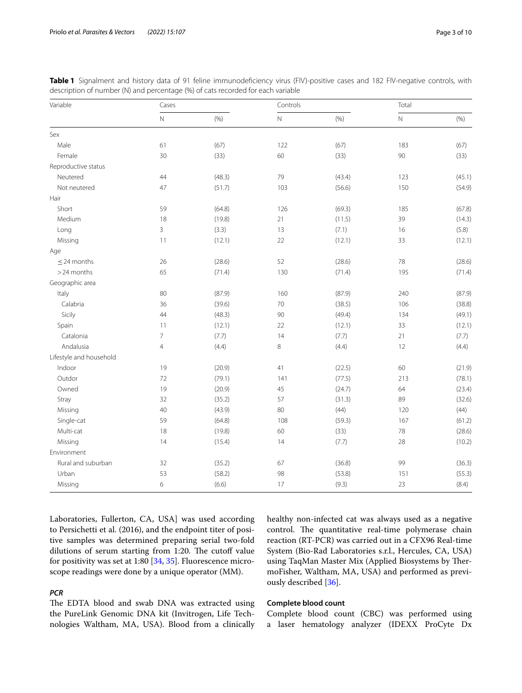| Variable                | Cases          |        | Controls   |         | Total      |         |
|-------------------------|----------------|--------|------------|---------|------------|---------|
|                         | $\hbox{N}$     | (% )   | $\hbox{N}$ | $(\% )$ | $\hbox{N}$ | $(\% )$ |
| Sex                     |                |        |            |         |            |         |
| Male                    | 61             | (67)   | 122        | (67)    | 183        | (67)    |
| Female                  | 30             | (33)   | 60         | (33)    | 90         | (33)    |
| Reproductive status     |                |        |            |         |            |         |
| Neutered                | 44             | (48.3) | 79         | (43.4)  | 123        | (45.1)  |
| Not neutered            | 47             | (51.7) | 103        | (56.6)  | 150        | (54.9)  |
| Hair                    |                |        |            |         |            |         |
| Short                   | 59             | (64.8) | 126        | (69.3)  | 185        | (67.8)  |
| Medium                  | 18             | (19.8) | 21         | (11.5)  | 39         | (14.3)  |
| Long                    | 3              | (3.3)  | 13         | (7.1)   | 16         | (5.8)   |
| Missing                 | 11             | (12.1) | 22         | (12.1)  | 33         | (12.1)  |
| Age                     |                |        |            |         |            |         |
| $\leq$ 24 months        | 26             | (28.6) | 52         | (28.6)  | 78         | (28.6)  |
| > 24 months             | 65             | (71.4) | 130        | (71.4)  | 195        | (71.4)  |
| Geographic area         |                |        |            |         |            |         |
| Italy                   | 80             | (87.9) | 160        | (87.9)  | 240        | (87.9)  |
| Calabria                | 36             | (39.6) | $70\,$     | (38.5)  | 106        | (38.8)  |
| Sicily                  | 44             | (48.3) | $90\,$     | (49.4)  | 134        | (49.1)  |
| Spain                   | 11             | (12.1) | 22         | (12.1)  | 33         | (12.1)  |
| Catalonia               | 7              | (7.7)  | 14         | (7.7)   | 21         | (7.7)   |
| Andalusia               | $\overline{4}$ | (4.4)  | 8          | (4.4)   | 12         | (4.4)   |
| Lifestyle and household |                |        |            |         |            |         |
| Indoor                  | 19             | (20.9) | 41         | (22.5)  | 60         | (21.9)  |
| Outdor                  | 72             | (79.1) | 141        | (77.5)  | 213        | (78.1)  |
| Owned                   | 19             | (20.9) | 45         | (24.7)  | 64         | (23.4)  |
| Stray                   | 32             | (35.2) | 57         | (31.3)  | 89         | (32.6)  |
| Missing                 | 40             | (43.9) | 80         | (44)    | 120        | (44)    |
| Single-cat              | 59             | (64.8) | 108        | (59.3)  | 167        | (61.2)  |
| Multi-cat               | 18             | (19.8) | 60         | (33)    | 78         | (28.6)  |
| Missing                 | 14             | (15.4) | 14         | (7.7)   | 28         | (10.2)  |
| Environment             |                |        |            |         |            |         |
| Rural and suburban      | 32             | (35.2) | 67         | (36.8)  | 99         | (36.3)  |
| Urban                   | 53             | (58.2) | 98         | (53.8)  | 151        | (55.3)  |
| Missing                 | 6              | (6.6)  | 17         | (9.3)   | 23         | (8.4)   |

<span id="page-2-0"></span>Table 1 Signalment and history data of 91 feline immunodeficiency virus (FIV)-positive cases and 182 FIV-negative controls, with description of number (N) and percentage (%) of cats recorded for each variable

Laboratories, Fullerton, CA, USA] was used according to Persichetti et al. (2016), and the endpoint titer of positive samples was determined preparing serial two-fold dilutions of serum starting from 1:20. The cutoff value for positivity was set at 1:80 [\[34,](#page-9-10) [35](#page-9-11)]. Fluorescence microscope readings were done by a unique operator (MM).

# *PCR*

The EDTA blood and swab DNA was extracted using the PureLink Genomic DNA kit (Invitrogen, Life Technologies Waltham, MA, USA). Blood from a clinically

# **Complete blood count**

ously described [[36](#page-9-12)].

Complete blood count (CBC) was performed using a laser hematology analyzer (IDEXX ProCyte Dx

healthy non-infected cat was always used as a negative control. The quantitative real-time polymerase chain reaction (RT-PCR) was carried out in a CFX96 Real-time System (Bio-Rad Laboratories s.r.l., Hercules, CA, USA) using TaqMan Master Mix (Applied Biosystems by ThermoFisher, Waltham, MA, USA) and performed as previ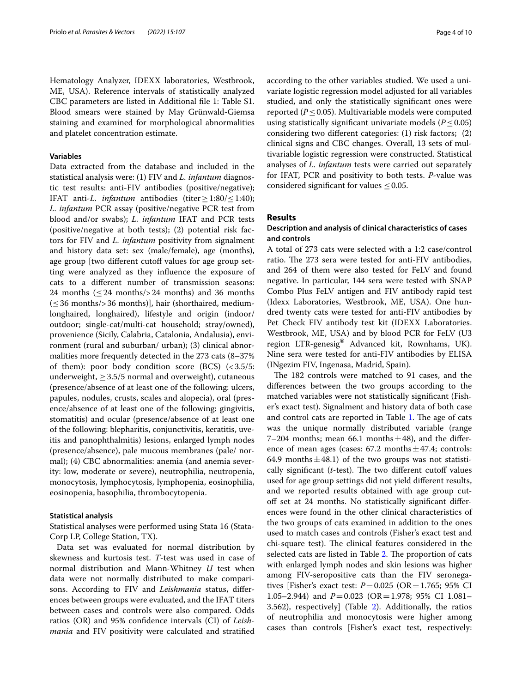Hematology Analyzer, IDEXX laboratories, Westbrook, ME, USA). Reference intervals of statistically analyzed CBC parameters are listed in Additional fle 1: Table S1. Blood smears were stained by May Grünwald-Giemsa staining and examined for morphological abnormalities and platelet concentration estimate.

# **Variables**

Data extracted from the database and included in the statistical analysis were: (1) FIV and *L. infantum* diagnostic test results: anti-FIV antibodies (positive/negative); IFAT anti-*L. infantum* antibodies (titer≥1:80/≤1:40); *L. infantum* PCR assay (positive/negative PCR test from blood and/or swabs); *L. infantum* IFAT and PCR tests (positive/negative at both tests); (2) potential risk factors for FIV and *L. infantum* positivity from signalment and history data set: sex (male/female), age (months), age group [two different cutoff values for age group setting were analyzed as they infuence the exposure of cats to a diferent number of transmission seasons: 24 months  $\left($  < 24 months $\left/$  > 24 months) and 36 months  $({\leq}36$  months/>36 months)], hair (shorthaired, mediumlonghaired, longhaired), lifestyle and origin (indoor/ outdoor; single-cat/multi-cat household; stray/owned), provenience (Sicily, Calabria, Catalonia, Andalusia), environment (rural and suburban/ urban); (3) clinical abnormalities more frequently detected in the 273 cats (8–37% of them): poor body condition score (BCS)  $\left($  < 3.5/5: underweight,  $\geq$  3.5/5 normal and overweight), cutaneous (presence/absence of at least one of the following: ulcers, papules, nodules, crusts, scales and alopecia), oral (presence/absence of at least one of the following: gingivitis, stomatitis) and ocular (presence/absence of at least one of the following: blepharitis, conjunctivitis, keratitis, uveitis and panophthalmitis) lesions, enlarged lymph nodes (presence/absence), pale mucous membranes (pale/ normal); (4) CBC abnormalities: anemia (and anemia severity: low, moderate or severe), neutrophilia, neutropenia, monocytosis, lymphocytosis, lymphopenia, eosinophilia, eosinopenia, basophilia, thrombocytopenia.

#### **Statistical analysis**

Statistical analyses were performed using Stata 16 (Stata-Corp LP, College Station, TX).

Data set was evaluated for normal distribution by skewness and kurtosis test. *T*-test was used in case of normal distribution and Mann-Whitney *U* test when data were not normally distributed to make comparisons. According to FIV and *Leishmania* status, diferences between groups were evaluated, and the IFAT titers between cases and controls were also compared. Odds ratios (OR) and 95% confdence intervals (CI) of *Leishmania* and FIV positivity were calculated and stratifed according to the other variables studied. We used a univariate logistic regression model adjusted for all variables studied, and only the statistically signifcant ones were reported ( $P \leq 0.05$ ). Multivariable models were computed using statistically signifcant univariate models (*P*≤0.05) considering two diferent categories: (1) risk factors; (2) clinical signs and CBC changes. Overall, 13 sets of multivariable logistic regression were constructed. Statistical analyses of *L. infantum* tests were carried out separately for IFAT, PCR and positivity to both tests. *P*-value was considered significant for values  $\leq 0.05$ .

#### **Results**

# **Description and analysis of clinical characteristics of cases and controls**

A total of 273 cats were selected with a 1:2 case/control ratio. The 273 sera were tested for anti-FIV antibodies, and 264 of them were also tested for FeLV and found negative. In particular, 144 sera were tested with SNAP Combo Plus FeLV antigen and FIV antibody rapid test (Idexx Laboratories, Westbrook, ME, USA). One hundred twenty cats were tested for anti-FIV antibodies by Pet Check FIV antibody test kit (IDEXX Laboratories. Westbrook, ME, USA) and by blood PCR for FeLV (U3 region LTR-genesig® Advanced kit, Rownhams, UK). Nine sera were tested for anti-FIV antibodies by ELISA (INgezim FIV, Ingenasa, Madrid, Spain).

The 182 controls were matched to 91 cases, and the diferences between the two groups according to the matched variables were not statistically signifcant (Fisher's exact test). Signalment and history data of both case and control cats are reported in Table [1.](#page-2-0) The age of cats was the unique normally distributed variable (range 7–204 months; mean 66.1 months $\pm$ 48), and the difference of mean ages (cases:  $67.2$  months $\pm$ 47.4; controls: 64.9 months  $\pm$  48.1) of the two groups was not statistically significant  $(t$ -test). The two different cutoff values used for age group settings did not yield diferent results, and we reported results obtained with age group cutoff set at 24 months. No statistically significant differences were found in the other clinical characteristics of the two groups of cats examined in addition to the ones used to match cases and controls (Fisher's exact test and chi-square test). The clinical features considered in the selected cats are listed in Table [2.](#page-4-0) The proportion of cats with enlarged lymph nodes and skin lesions was higher among FIV-seropositive cats than the FIV seronegatives [Fisher's exact test: *P*=0.025 (OR=1.765; 95% CI 1.05–2.944) and *P*=0.023 (OR=1.978; 95% CI 1.081– 3.562), respectively] (Table [2](#page-4-0)). Additionally, the ratios of neutrophilia and monocytosis were higher among cases than controls [Fisher's exact test, respectively: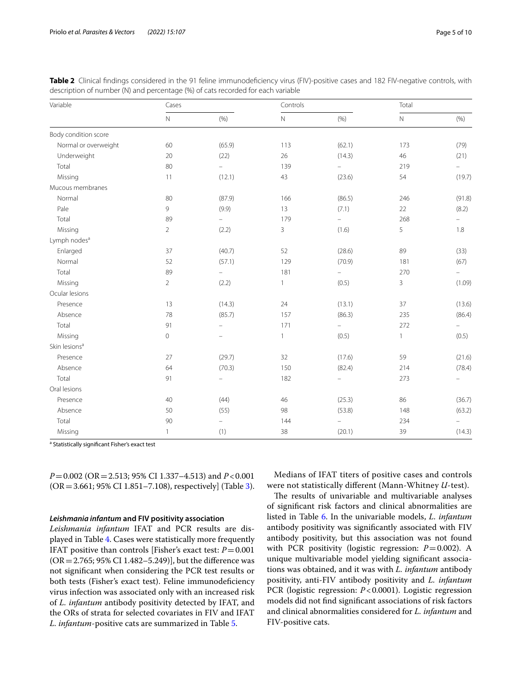| Variable                  | Cases          |                          | Controls     |                          | Total        |                          |
|---------------------------|----------------|--------------------------|--------------|--------------------------|--------------|--------------------------|
|                           | $\bar{\rm N}$  | (% )                     | $\hbox{N}$   | (% )                     | $\hbox{N}$   | (% )                     |
| Body condition score      |                |                          |              |                          |              |                          |
| Normal or overweight      | 60             | (65.9)                   | 113          | (62.1)                   | 173          | (79)                     |
| Underweight               | 20             | (22)                     | 26           | (14.3)                   | 46           | (21)                     |
| Total                     | 80             | $\equiv$                 | 139          | $\equiv$                 | 219          | $\frac{1}{2}$            |
| Missing                   | 11             | (12.1)                   | 43           | (23.6)                   | 54           | (19.7)                   |
| Mucous membranes          |                |                          |              |                          |              |                          |
| Normal                    | 80             | (87.9)                   | 166          | (86.5)                   | 246          | (91.8)                   |
| Pale                      | 9              | (9.9)                    | 13           | (7.1)                    | 22           | (8.2)                    |
| Total                     | 89             | ÷,                       | 179          | $\overline{\phantom{a}}$ | 268          | $\overline{\phantom{0}}$ |
| Missing                   | $\overline{2}$ | (2.2)                    | 3            | (1.6)                    | 5            | 1.8                      |
| Lymph nodes <sup>a</sup>  |                |                          |              |                          |              |                          |
| Enlarged                  | 37             | (40.7)                   | 52           | (28.6)                   | 89           | (33)                     |
| Normal                    | 52             | (57.1)                   | 129          | (70.9)                   | 181          | (67)                     |
| Total                     | 89             | ÷,                       | 181          | $\equiv$                 | 270          | $\overline{\phantom{0}}$ |
| Missing                   | $\overline{2}$ | (2.2)                    | $\mathbf{1}$ | (0.5)                    | 3            | (1.09)                   |
| Ocular lesions            |                |                          |              |                          |              |                          |
| Presence                  | 13             | (14.3)                   | 24           | (13.1)                   | 37           | (13.6)                   |
| Absence                   | 78             | (85.7)                   | 157          | (86.3)                   | 235          | (86.4)                   |
| Total                     | 91             | $\qquad \qquad -$        | 171          | $\equiv$                 | 272          | $\overline{\phantom{0}}$ |
| Missing                   | $\mathbf 0$    | ÷                        | $\mathbf{1}$ | (0.5)                    | $\mathbf{1}$ | (0.5)                    |
| Skin lesions <sup>a</sup> |                |                          |              |                          |              |                          |
| Presence                  | 27             | (29.7)                   | 32           | (17.6)                   | 59           | (21.6)                   |
| Absence                   | 64             | (70.3)                   | 150          | (82.4)                   | 214          | (78.4)                   |
| Total                     | 91             | ÷                        | 182          | $\qquad \qquad -$        | 273          |                          |
| Oral lesions              |                |                          |              |                          |              |                          |
| Presence                  | 40             | (44)                     | 46           | (25.3)                   | 86           | (36.7)                   |
| Absence                   | 50             | (55)                     | 98           | (53.8)                   | 148          | (63.2)                   |
| Total                     | 90             | $\overline{\phantom{0}}$ | 144          | ÷                        | 234          | -                        |
| Missing                   | $\mathbf{1}$   | (1)                      | 38           | (20.1)                   | 39           | (14.3)                   |

<span id="page-4-0"></span>**Table 2** Clinical findings considered in the 91 feline immunodeficiency virus (FIV)-positive cases and 182 FIV-negative controls, with description of number (N) and percentage (%) of cats recorded for each variable

<sup>a</sup> Statistically significant Fisher's exact test

*P*=0.002 (OR=2.513; 95% CI 1.337–4.513) and *P*<0.001  $(OR = 3.661; 95\% CI 1.851 - 7.108)$  $(OR = 3.661; 95\% CI 1.851 - 7.108)$  $(OR = 3.661; 95\% CI 1.851 - 7.108)$ , respectively] (Table 3).

#### *Leishmania infantum* **and FIV positivity association**

*Leishmania infantum* IFAT and PCR results are displayed in Table [4](#page-5-1). Cases were statistically more frequently IFAT positive than controls [Fisher's exact test:  $P = 0.001$  $(OR = 2.765; 95\% CI 1.482 - 5.249)$ ], but the difference was not signifcant when considering the PCR test results or both tests (Fisher's exact test). Feline immunodefciency virus infection was associated only with an increased risk of *L. infantum* antibody positivity detected by IFAT, and the ORs of strata for selected covariates in FIV and IFAT *L. infantum*-positive cats are summarized in Table [5.](#page-5-2)

Medians of IFAT titers of positive cases and controls were not statistically diferent (Mann-Whitney *U*-test).

The results of univariable and multivariable analyses of signifcant risk factors and clinical abnormalities are listed in Table [6.](#page-6-0) In the univariable models, *L. infantum* antibody positivity was signifcantly associated with FIV antibody positivity, but this association was not found with PCR positivity (logistic regression:  $P=0.002$ ). A unique multivariable model yielding signifcant associations was obtained, and it was with *L. infantum* antibody positivity, anti-FIV antibody positivity and *L. infantum* PCR (logistic regression: *P*<0.0001). Logistic regression models did not fnd signifcant associations of risk factors and clinical abnormalities considered for *L. infantum* and FIV-positive cats.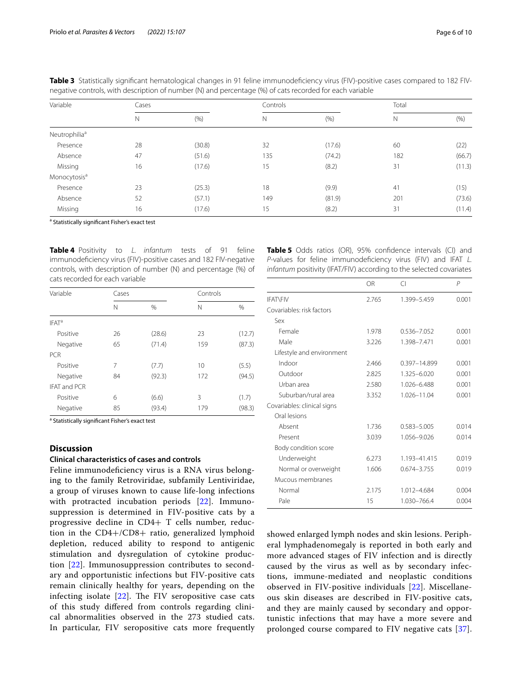| Variable                  | Cases |        |     |        | Total |        |
|---------------------------|-------|--------|-----|--------|-------|--------|
|                           | N     | (% )   | N   | (% )   | N     | (% )   |
| Neutrophilia <sup>a</sup> |       |        |     |        |       |        |
| Presence                  | 28    | (30.8) | 32  | (17.6) | 60    | (22)   |
| Absence                   | 47    | (51.6) | 135 | (74.2) | 182   | (66.7) |
| Missing                   | 16    | (17.6) | 15  | (8.2)  | 31    | (11.3) |
| Monocytosis <sup>a</sup>  |       |        |     |        |       |        |
| Presence                  | 23    | (25.3) | 18  | (9.9)  | 41    | (15)   |
| Absence                   | 52    | (57.1) | 149 | (81.9) | 201   | (73.6) |
| Missing                   | 16    | (17.6) | 15  | (8.2)  | 31    | (11.4) |

<span id="page-5-0"></span>**Table 3** Statistically significant hematological changes in 91 feline immunodeficiency virus (FIV)-positive cases compared to 182 FIVnegative controls, with description of number (N) and percentage (%) of cats recorded for each variable

<sup>a</sup> Statistically significant Fisher's exact test

<span id="page-5-1"></span>**Table 4** Positivity to *L. infantum* tests of 91 feline immunodefciency virus (FIV)-positive cases and 182 FIV-negative controls, with description of number (N) and percentage (%) of cats recorded for each variable

| Variable            | Cases |        | Controls |        |
|---------------------|-------|--------|----------|--------|
|                     | Ν     | $\%$   | Ν        | %      |
| IFAT <sup>a</sup>   |       |        |          |        |
| Positive            | 26    | (28.6) | 23       | (12.7) |
| Negative            | 65    | (71.4) | 159      | (87.3) |
| <b>PCR</b>          |       |        |          |        |
| Positive            | 7     | (7.7)  | 10       | (5.5)  |
| Negative            | 84    | (92.3) | 172      | (94.5) |
| <b>IFAT and PCR</b> |       |        |          |        |
| Positive            | 6     | (6.6)  | 3        | (1.7)  |
| Negative            | 85    | (93.4) | 179      | (98.3) |

<sup>a</sup> Statistically significant Fisher's exact test

# **Discussion**

## **Clinical characteristics of cases and controls**

Feline immunodefciency virus is a RNA virus belonging to the family Retroviridae, subfamily Lentiviridae, a group of viruses known to cause life-long infections with protracted incubation periods [[22\]](#page-9-1). Immunosuppression is determined in FIV-positive cats by a progressive decline in CD4+ T cells number, reduction in the CD4+/CD8+ ratio, generalized lymphoid depletion, reduced ability to respond to antigenic stimulation and dysregulation of cytokine production [\[22](#page-9-1)]. Immunosuppression contributes to secondary and opportunistic infections but FIV-positive cats remain clinically healthy for years, depending on the infecting isolate  $[22]$  $[22]$ . The FIV seropositive case cats of this study difered from controls regarding clinical abnormalities observed in the 273 studied cats. In particular, FIV seropositive cats more frequently <span id="page-5-2"></span>**Table 5** Odds ratios (OR), 95% confidence intervals (CI) and *P*-values for feline immunodefciency virus (FIV) and IFAT *L. infantum* positivity (IFAT/FIV) according to the selected covariates

|                             | OR    | CI           | $\mathsf{P}$ |
|-----------------------------|-------|--------------|--------------|
| <b>IFAT\FIV</b>             | 2.765 | 1.399-5.459  | 0.001        |
| Covariables: risk factors   |       |              |              |
| Sex                         |       |              |              |
| Female                      | 1.978 | 0.536-7.052  | 0.001        |
| Male                        | 3.226 | 1.398-7.471  | 0.001        |
| Lifestyle and environment   |       |              |              |
| Indoor                      | 2.466 | 0.397-14.899 | 0.001        |
| Outdoor                     | 2.825 | 1.325-6.020  | 0.001        |
| Urban area                  | 2.580 | 1.026-6.488  | 0.001        |
| Suburban/rural area         | 3.352 | 1.026-11.04  | 0.001        |
| Covariables: clinical signs |       |              |              |
| Oral lesions                |       |              |              |
| Absent                      | 1.736 | 0.583-5.005  | 0.014        |
| Present                     | 3.039 | 1.056-9.026  | 0.014        |
| Body condition score        |       |              |              |
| Underweight                 | 6.273 | 1.193-41.415 | 0.019        |
| Normal or overweight        | 1.606 | 0.674-3.755  | 0.019        |
| Mucous membranes            |       |              |              |
| Normal                      | 2.175 | 1.012-4.684  | 0.004        |
| Pale                        | 15    | 1.030-766.4  | 0.004        |

showed enlarged lymph nodes and skin lesions. Peripheral lymphadenomegaly is reported in both early and more advanced stages of FIV infection and is directly caused by the virus as well as by secondary infections, immune-mediated and neoplastic conditions observed in FIV-positive individuals [[22\]](#page-9-1). Miscellaneous skin diseases are described in FIV-positive cats, and they are mainly caused by secondary and opportunistic infections that may have a more severe and prolonged course compared to FIV negative cats [[37](#page-9-13)].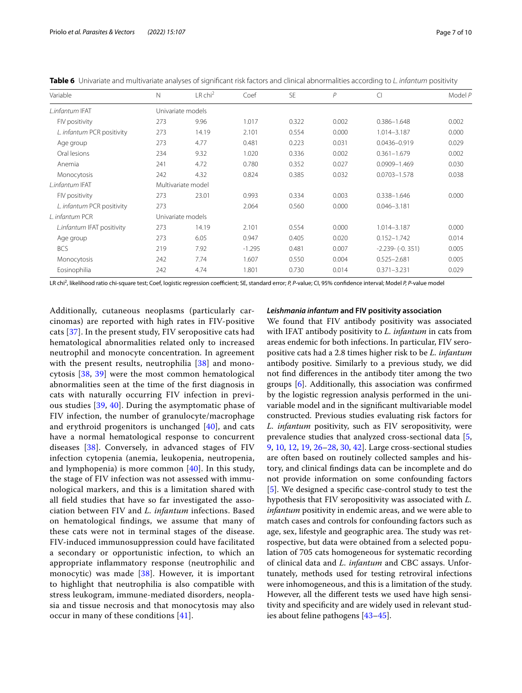| Variable                   | N   | $LR$ chi <sup>2</sup> | Coef     | <b>SE</b> | $\mathcal P$ | CI                  | Model P |  |
|----------------------------|-----|-----------------------|----------|-----------|--------------|---------------------|---------|--|
| L.infantum IFAT            |     | Univariate models     |          |           |              |                     |         |  |
| FIV positivity             | 273 | 9.96                  | 1.017    | 0.322     | 0.002        | $0.386 - 1.648$     | 0.002   |  |
| L. infantum PCR positivity | 273 | 14.19                 | 2.101    | 0.554     | 0.000        | 1.014-3.187         | 0.000   |  |
| Age group                  | 273 | 4.77                  | 0.481    | 0.223     | 0.031        | 0.0436-0.919        | 0.029   |  |
| Oral lesions               | 234 | 9.32                  | 1.020    | 0.336     | 0.002        | $0.361 - 1.679$     | 0.002   |  |
| Anemia                     | 241 | 4.72                  | 0.780    | 0.352     | 0.027        | 0.0909-1.469        | 0.030   |  |
| Monocytosis                | 242 | 4.32                  | 0.824    | 0.385     | 0.032        | $0.0703 - 1.578$    | 0.038   |  |
| L.infantum IFAT            |     | Multivariate model    |          |           |              |                     |         |  |
| FIV positivity             | 273 | 23.01                 | 0.993    | 0.334     | 0.003        | $0.338 - 1.646$     | 0.000   |  |
| L. infantum PCR positivity | 273 |                       | 2.064    | 0.560     | 0.000        | $0.046 - 3.181$     |         |  |
| L. infantum PCR            |     | Univariate models     |          |           |              |                     |         |  |
| L.infantum IFAT positivity | 273 | 14.19                 | 2.101    | 0.554     | 0.000        | 1.014-3.187         | 0.000   |  |
| Age group                  | 273 | 6.05                  | 0.947    | 0.405     | 0.020        | $0.152 - 1.742$     | 0.014   |  |
| <b>BCS</b>                 | 219 | 7.92                  | $-1.295$ | 0.481     | 0.007        | $-2.239 - (-0.351)$ | 0.005   |  |
| Monocytosis                | 242 | 7.74                  | 1.607    | 0.550     | 0.004        | $0.525 - 2.681$     | 0.005   |  |
| Eosinophilia               | 242 | 4.74                  | 1.801    | 0.730     | 0.014        | $0.371 - 3.231$     | 0.029   |  |

<span id="page-6-0"></span>**Table 6** Univariate and multivariate analyses of signifcant risk factors and clinical abnormalities according to *L. infantum* positivity

LR chi2 , likelihood ratio chi-square test; Coef, logistic regression coefcient; SE, standard error; *P, P*-value; CI, 95% confdence interval; Model *P, P*-value model

Additionally, cutaneous neoplasms (particularly carcinomas) are reported with high rates in FIV-positive cats [[37](#page-9-13)]. In the present study, FIV seropositive cats had hematological abnormalities related only to increased neutrophil and monocyte concentration. In agreement with the present results, neutrophilia [[38\]](#page-9-14) and monocytosis [\[38,](#page-9-14) [39\]](#page-9-15) were the most common hematological abnormalities seen at the time of the frst diagnosis in cats with naturally occurring FIV infection in previous studies [[39](#page-9-15), [40](#page-9-16)]. During the asymptomatic phase of FIV infection, the number of granulocyte/macrophage and erythroid progenitors is unchanged  $[40]$  $[40]$ , and cats have a normal hematological response to concurrent diseases [\[38](#page-9-14)]. Conversely, in advanced stages of FIV infection cytopenia (anemia, leukopenia, neutropenia, and lymphopenia) is more common [[40](#page-9-16)]. In this study, the stage of FIV infection was not assessed with immunological markers, and this is a limitation shared with all feld studies that have so far investigated the association between FIV and *L. infantum* infections. Based on hematological fndings, we assume that many of these cats were not in terminal stages of the disease. FIV-induced immunosuppression could have facilitated a secondary or opportunistic infection, to which an appropriate infammatory response (neutrophilic and monocytic) was made [[38](#page-9-14)]. However, it is important to highlight that neutrophilia is also compatible with stress leukogram, immune-mediated disorders, neoplasia and tissue necrosis and that monocytosis may also occur in many of these conditions [[41](#page-9-17)].

#### *Leishmania infantum* **and FIV positivity association**

We found that FIV antibody positivity was associated with IFAT antibody positivity to *L. infantum* in cats from areas endemic for both infections. In particular, FIV seropositive cats had a 2.8 times higher risk to be *L. infantum* antibody positive. Similarly to a previous study, we did not fnd diferences in the antibody titer among the two groups [[6\]](#page-8-15). Additionally, this association was confrmed by the logistic regression analysis performed in the univariable model and in the signifcant multivariable model constructed. Previous studies evaluating risk factors for *L. infantum* positivity, such as FIV seropositivity, were prevalence studies that analyzed cross-sectional data [\[5](#page-8-5), [9,](#page-8-7) [10](#page-8-4), [12,](#page-8-9) [19](#page-8-13), [26–](#page-9-5)[28,](#page-9-6) [30](#page-9-18), [42\]](#page-9-19). Large cross-sectional studies are often based on routinely collected samples and history, and clinical fndings data can be incomplete and do not provide information on some confounding factors [[5\]](#page-8-5). We designed a specific case-control study to test the hypothesis that FIV seropositivity was associated with *L. infantum* positivity in endemic areas, and we were able to match cases and controls for confounding factors such as age, sex, lifestyle and geographic area. The study was retrospective, but data were obtained from a selected population of 705 cats homogeneous for systematic recording of clinical data and *L. infantum* and CBC assays. Unfortunately, methods used for testing retroviral infections were inhomogeneous, and this is a limitation of the study. However, all the diferent tests we used have high sensitivity and specifcity and are widely used in relevant studies about feline pathogens [[43](#page-9-20)[–45](#page-9-21)].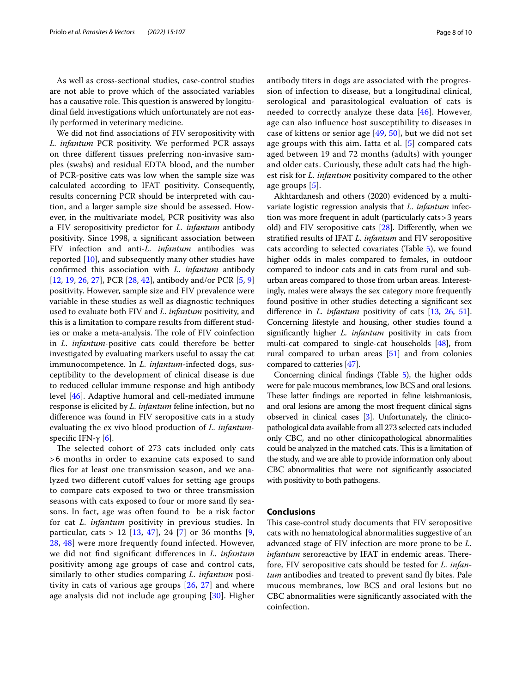As well as cross-sectional studies, case-control studies are not able to prove which of the associated variables has a causative role. This question is answered by longitudinal feld investigations which unfortunately are not easily performed in veterinary medicine.

We did not fnd associations of FIV seropositivity with *L. infantum* PCR positivity. We performed PCR assays on three diferent tissues preferring non-invasive samples (swabs) and residual EDTA blood, and the number of PCR-positive cats was low when the sample size was calculated according to IFAT positivity. Consequently, results concerning PCR should be interpreted with caution, and a larger sample size should be assessed. However, in the multivariate model, PCR positivity was also a FIV seropositivity predictor for *L. infantum* antibody positivity. Since 1998, a signifcant association between FIV infection and anti-*L. infantum* antibodies was reported [\[10](#page-8-4)], and subsequently many other studies have confrmed this association with *L. infantum* antibody [[12,](#page-8-9) [19](#page-8-13), [26](#page-9-5), [27\]](#page-9-22), PCR [\[28](#page-9-6), [42](#page-9-19)], antibody and/or PCR [[5,](#page-8-5) [9](#page-8-7)] positivity. However, sample size and FIV prevalence were variable in these studies as well as diagnostic techniques used to evaluate both FIV and *L. infantum* positivity, and this is a limitation to compare results from diferent studies or make a meta-analysis. The role of FIV coinfection in *L. infantum*-positive cats could therefore be better investigated by evaluating markers useful to assay the cat immunocompetence. In *L. infantum*-infected dogs, susceptibility to the development of clinical disease is due to reduced cellular immune response and high antibody level [[46\]](#page-9-23). Adaptive humoral and cell-mediated immune response is elicited by *L. infantum* feline infection, but no diference was found in FIV seropositive cats in a study evaluating the ex vivo blood production of *L. infantum*specific IFN-γ  $[6]$  $[6]$ .

The selected cohort of 273 cats included only cats > 6 months in order to examine cats exposed to sand fies for at least one transmission season, and we analyzed two different cutoff values for setting age groups to compare cats exposed to two or three transmission seasons with cats exposed to four or more sand fy seasons. In fact, age was often found to be a risk factor for cat *L. infantum* positivity in previous studies. In particular, cats > 12  $[13, 47]$  $[13, 47]$  $[13, 47]$  $[13, 47]$ , 24  $[7]$  $[7]$  or 36 months  $[9, 12]$  $[9, 12]$ [28,](#page-9-6) [48](#page-9-25)] were more frequently found infected. However, we did not fnd signifcant diferences in *L. infantum* positivity among age groups of case and control cats, similarly to other studies comparing *L. infantum* positivity in cats of various age groups [[26](#page-9-5), [27](#page-9-22)] and where age analysis did not include age grouping [[30](#page-9-18)]. Higher antibody titers in dogs are associated with the progression of infection to disease, but a longitudinal clinical, serological and parasitological evaluation of cats is needed to correctly analyze these data [\[46\]](#page-9-23). However, age can also infuence host susceptibility to diseases in case of kittens or senior age [[49,](#page-9-26) [50\]](#page-9-27), but we did not set age groups with this aim. Iatta et al. [\[5](#page-8-5)] compared cats aged between 19 and 72 months (adults) with younger and older cats. Curiously, these adult cats had the highest risk for *L. infantum* positivity compared to the other age groups [[5\]](#page-8-5).

Akhtardanesh and others (2020) evidenced by a multivariate logistic regression analysis that *L. infantum* infection was more frequent in adult (particularly cats>3 years old) and FIV seropositive cats [\[28](#page-9-6)]. Diferently, when we stratifed results of IFAT *L. infantum* and FIV seropositive cats according to selected covariates (Table [5](#page-5-2)), we found higher odds in males compared to females, in outdoor compared to indoor cats and in cats from rural and suburban areas compared to those from urban areas. Interestingly, males were always the sex category more frequently found positive in other studies detecting a signifcant sex diference in *L. infantum* positivity of cats [\[13,](#page-8-10) [26](#page-9-5), [51](#page-9-28)]. Concerning lifestyle and housing, other studies found a signifcantly higher *L. infantum* positivity in cats from multi-cat compared to single-cat households [\[48](#page-9-25)], from rural compared to urban areas [\[51\]](#page-9-28) and from colonies compared to catteries [\[47](#page-9-24)].

Concerning clinical fndings (Table [5\)](#page-5-2), the higher odds were for pale mucous membranes, low BCS and oral lesions. These latter findings are reported in feline leishmaniosis, and oral lesions are among the most frequent clinical signs observed in clinical cases [\[3\]](#page-8-2). Unfortunately, the clinicopathological data available from all 273 selected cats included only CBC, and no other clinicopathological abnormalities could be analyzed in the matched cats. This is a limitation of the study, and we are able to provide information only about CBC abnormalities that were not signifcantly associated with positivity to both pathogens.

#### **Conclusions**

This case-control study documents that FIV seropositive cats with no hematological abnormalities suggestive of an advanced stage of FIV infection are more prone to be *L. infantum* seroreactive by IFAT in endemic areas. Therefore, FIV seropositive cats should be tested for *L. infantum* antibodies and treated to prevent sand fly bites. Pale mucous membranes, low BCS and oral lesions but no CBC abnormalities were signifcantly associated with the coinfection.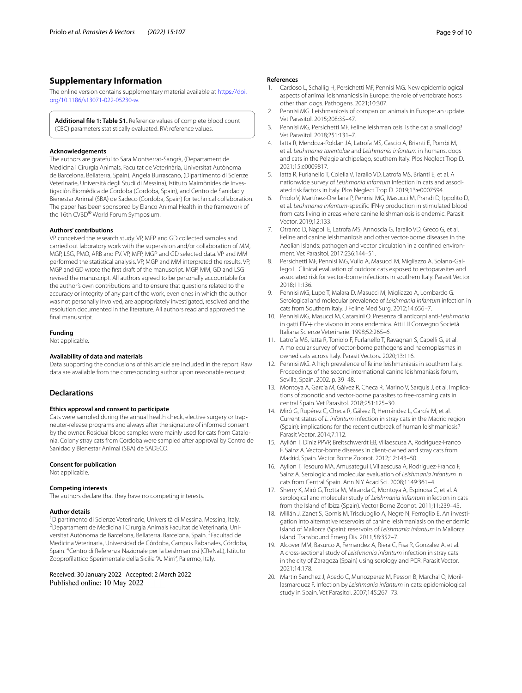# **Supplementary Information**

The online version contains supplementary material available at [https://doi.](https://doi.org/10.1186/s13071-022-05230-w) [org/10.1186/s13071-022-05230-w.](https://doi.org/10.1186/s13071-022-05230-w)

**Additional fle 1: Table S1.** Reference values of complete blood count (CBC) parameters statistically evaluated. RV: reference values.

#### **Acknowledgements**

The authors are grateful to Sara Montserrat‐Sangrà, (Departament de Medicina i Cirurgia Animals, Facultat de Veterinària, Universitat Autònoma de Barcelona, Bellaterra, Spain), Angela Burrascano, (Dipartimento di Scienze Veterinarie, Università degli Studi di Messina), Istituto Maimònides de Investigaciòn Biomèdica de Cordoba (Cordoba, Spain), and Centro de Sanidad y Bienestar Animal (SBA) de Sadeco (Cordoba, Spain) for technical collaboration. The paper has been sponsored by Elanco Animal Health in the framework of the 16th CVBD® World Forum Symposium.

#### **Authors' contributions**

VP conceived the research study. VP, MFP and GD collected samples and carried out laboratory work with the supervision and/or collaboration of MM, MGP, LSG, PMO, ARB and FV. VP, MFP, MGP and GD selected data. VP and MM performed the statistical analysis. VP, MGP and MM interpreted the results. VP, MGP and GD wrote the frst draft of the manuscript. MGP, MM, GD and LSG revised the manuscript. All authors agreed to be personally accountable for the author's own contributions and to ensure that questions related to the accuracy or integrity of any part of the work, even ones in which the author was not personally involved, are appropriately investigated, resolved and the resolution documented in the literature. All authors read and approved the fnal manuscript.

#### **Funding**

Not applicable.

#### **Availability of data and materials**

Data supporting the conclusions of this article are included in the report. Raw data are available from the corresponding author upon reasonable request.

## **Declarations**

#### **Ethics approval and consent to participate**

Cats were sampled during the annual health check, elective surgery or trapneuter‐release programs and always after the signature of informed consent by the owner. Residual blood samples were mainly used for cats from Catalonia. Colony stray cats from Cordoba were sampled after approval by Centro de Sanidad y Bienestar Animal (SBA) de SADECO.

#### **Consent for publication**

Not applicable.

#### **Competing interests**

The authors declare that they have no competing interests.

#### **Author details**

<sup>1</sup> Dipartimento di Scienze Veterinarie, Università di Messina, Messina, Italy. <sup>2</sup>Departament de Medicina i Cirurgia Animals Facultat de Veterinaria, Universitat Autònoma de Barcelona, Bellaterra, Barcelona, Spain. <sup>3</sup>Facultad de Medicina Veterinaria, Universidad de Córdoba, Campus Rabanales, Córdoba, Spain. <sup>4</sup>Centro di Referenza Nazionale per la Leishmaniosi (CReNaL), Istituto Zooproflattico Sperimentale della Sicilia "A. Mirri", Palermo, Italy.

Received: 30 January 2022 Accepted: 2 March 2022 Published online: 10 May 2022

#### **References**

- <span id="page-8-0"></span>1. Cardoso L, Schallig H, Persichetti MF, Pennisi MG. New epidemiological aspects of animal leishmaniosis in Europe: the role of vertebrate hosts other than dogs. Pathogens. 2021;10:307.
- <span id="page-8-1"></span>2. Pennisi MG. Leishmaniosis of companion animals in Europe: an update. Vet Parasitol. 2015;208:35–47.
- <span id="page-8-2"></span>3. Pennisi MG, Persichetti MF. Feline leishmaniosis: is the cat a small dog? Vet Parasitol. 2018;251:131–7.
- <span id="page-8-3"></span>4. Iatta R, Mendoza-Roldan JA, Latrofa MS, Cascio A, Brianti E, Pombi M, et al. *Leishmania tarentolae* and *Leishmania infantum* in humans, dogs and cats in the Pelagie archipelago, southern Italy. Plos Neglect Trop D. 2021;15:e0009817.
- <span id="page-8-5"></span>5. Iatta R, Furlanello T, Colella V, Tarallo VD, Latrofa MS, Brianti E, et al. A nationwide survey of *Leishmania infantum* infection in cats and associ‑ ated risk factors in Italy. Plos Neglect Trop D. 2019;13:e0007594.
- <span id="page-8-15"></span>Priolo V, Martínez-Orellana P, Pennisi MG, Masucci M, Prandi D, Ippolito D, et al. *Leishmania infantum*-specifc IFN-γ production in stimulated blood from cats living in areas where canine leishmaniosis is endemic. Parasit Vector. 2019;12:133.
- <span id="page-8-6"></span>7. Otranto D, Napoli E, Latrofa MS, Annoscia G, Tarallo VD, Greco G, et al. Feline and canine leishmaniosis and other vector-borne diseases in the Aeolian Islands: pathogen and vector circulation in a confined environment. Vet Parasitol. 2017;236:144–51.
- <span id="page-8-16"></span>Persichetti MF, Pennisi MG, Vullo A, Masucci M, Migliazzo A, Solano-Gallego L. Clinical evaluation of outdoor cats exposed to ectoparasites and associated risk for vector-borne infections in southern Italy. Parasit Vector. 2018;11:136.
- <span id="page-8-7"></span>9. Pennisi MG, Lupo T, Malara D, Masucci M, Migliazzo A, Lombardo G. Serological and molecular prevalence of *Leishmania infantum* infection in cats from Southern Italy. J Feline Med Surg. 2012;14:656–7.
- <span id="page-8-4"></span>10. Pennisi MG, Masucci M, Catarsini O. Presenza di anticorpi anti-*Leishmania* in gatti FIV+ che vivono in zona endemica. Atti LII Convegno Società Italiana Scienze Veterinarie. 1998;52:265–6.
- <span id="page-8-8"></span>11. Latrofa MS, Iatta R, Toniolo F, Furlanello T, Ravagnan S, Capelli G, et al. A molecular survey of vector-borne pathogens and haemoplasmas in owned cats across Italy. Parasit Vectors. 2020;13:116.
- <span id="page-8-9"></span>12. Pennisi MG. A high prevalence of feline leishmaniasis in southern Italy. Proceedings of the second international canine leishmaniasis forum, Sevilla, Spain. 2002. p. 39–48.
- <span id="page-8-10"></span>13. Montoya A, García M, Gálvez R, Checa R, Marino V, Sarquis J, et al. Implications of zoonotic and vector-borne parasites to free-roaming cats in central Spain. Vet Parasitol. 2018;251:125–30.
- <span id="page-8-18"></span>14. Miró G, Rupérez C, Checa R, Gálvez R, Hernández L, García M, et al. Current status of *L. infantum* infection in stray cats in the Madrid region (Spain): implications for the recent outbreak of human leishmaniosis? Parasit Vector. 2014;7:112.
- <span id="page-8-17"></span>15. Ayllón T, Diniz PPVP, Breitschwerdt EB, Villaescusa A, Rodríguez-Franco F, Sainz A. Vector-borne diseases in client-owned and stray cats from Madrid, Spain. Vector Borne Zoonot. 2012;12:143–50.
- <span id="page-8-11"></span>16. Ayllon T, Tesouro MA, Amusategui I, Villaescusa A, Rodriguez-Franco F, Sainz A. Serologic and molecular evaluation of *Leishmania infantum* in cats from Central Spain. Ann N Y Acad Sci. 2008;1149:361–4.
- <span id="page-8-12"></span>17. Sherry K, Miró G, Trotta M, Miranda C, Montoya A, Espinosa C, et al. A serological and molecular study of *Leishmania infantum* infection in cats from the Island of Ibiza (Spain). Vector Borne Zoonot. 2011;11:239–45.
- 18. Millán J, Zanet S, Gomis M, Trisciuoglio A, Negre N, Ferroglio E. An investi‑ gation into alternative reservoirs of canine leishmaniasis on the endemic Island of Mallorca (Spain): reservoirs of *Leishmania infantum* in Mallorca island. Transbound Emerg Dis. 2011;58:352–7.
- <span id="page-8-13"></span>19. Alcover MM, Basurco A, Fernandez A, Riera C, Fisa R, Gonzalez A, et al. A cross-sectional study of *Leishmania infantum* infection in stray cats in the city of Zaragoza (Spain) using serology and PCR. Parasit Vector. 2021;14:178.
- <span id="page-8-14"></span>20. Martin Sanchez J, Acedo C, Munozperez M, Pesson B, Marchal O, Morillasmarquez F. Infection by *Leishmania infantum* in cats: epidemiological study in Spain. Vet Parasitol. 2007;145:267–73.